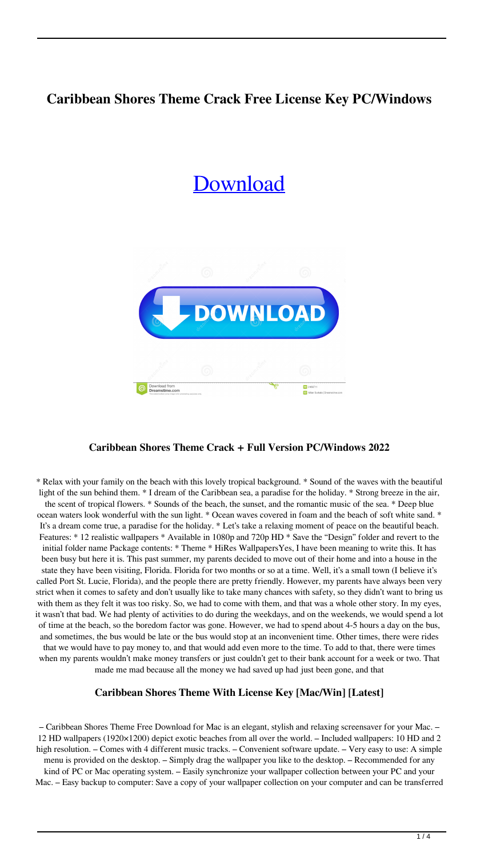# **Caribbean Shores Theme Crack Free License Key PC/Windows**

# [Download](http://evacdir.com/jains/burnings/Q2FyaWJiZWFuIFNob3JlcyBUaGVtZQQ2F?soubhagya=&ZG93bmxvYWR8WjFETmpKdGJueDhNVFkxTkRVeU1qRXhNSHg4TWpVNE4zeDhLRTBwSUVobGNtOXJkU0JiUm1GemRDQkhSVTVk=extrinsic)



#### **Caribbean Shores Theme Crack + Full Version PC/Windows 2022**

\* Relax with your family on the beach with this lovely tropical background. \* Sound of the waves with the beautiful light of the sun behind them. \* I dream of the Caribbean sea, a paradise for the holiday. \* Strong breeze in the air, the scent of tropical flowers. \* Sounds of the beach, the sunset, and the romantic music of the sea. \* Deep blue ocean waters look wonderful with the sun light. \* Ocean waves covered in foam and the beach of soft white sand. \* It's a dream come true, a paradise for the holiday. \* Let's take a relaxing moment of peace on the beautiful beach. Features: \* 12 realistic wallpapers \* Available in 1080p and 720p HD \* Save the "Design" folder and revert to the initial folder name Package contents: \* Theme \* HiRes WallpapersYes, I have been meaning to write this. It has been busy but here it is. This past summer, my parents decided to move out of their home and into a house in the state they have been visiting, Florida. Florida for two months or so at a time. Well, it's a small town (I believe it's called Port St. Lucie, Florida), and the people there are pretty friendly. However, my parents have always been very strict when it comes to safety and don't usually like to take many chances with safety, so they didn't want to bring us with them as they felt it was too risky. So, we had to come with them, and that was a whole other story. In my eyes, it wasn't that bad. We had plenty of activities to do during the weekdays, and on the weekends, we would spend a lot of time at the beach, so the boredom factor was gone. However, we had to spend about 4-5 hours a day on the bus, and sometimes, the bus would be late or the bus would stop at an inconvenient time. Other times, there were rides that we would have to pay money to, and that would add even more to the time. To add to that, there were times when my parents wouldn't make money transfers or just couldn't get to their bank account for a week or two. That made me mad because all the money we had saved up had just been gone, and that

#### **Caribbean Shores Theme With License Key [Mac/Win] [Latest]**

– Caribbean Shores Theme Free Download for Mac is an elegant, stylish and relaxing screensaver for your Mac. – 12 HD wallpapers (1920×1200) depict exotic beaches from all over the world. – Included wallpapers: 10 HD and 2 high resolution. – Comes with 4 different music tracks. – Convenient software update. – Very easy to use: A simple menu is provided on the desktop. – Simply drag the wallpaper you like to the desktop. – Recommended for any kind of PC or Mac operating system. – Easily synchronize your wallpaper collection between your PC and your Mac. – Easy backup to computer: Save a copy of your wallpaper collection on your computer and can be transferred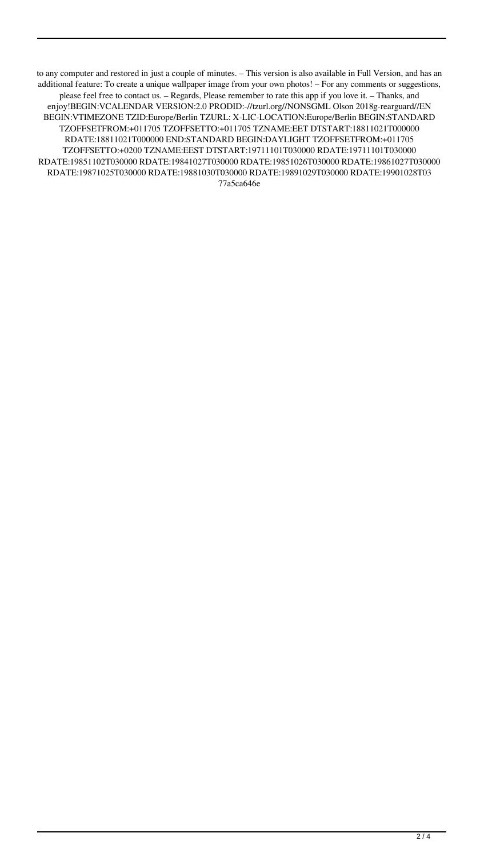to any computer and restored in just a couple of minutes. – This version is also available in Full Version, and has an additional feature: To create a unique wallpaper image from your own photos! – For any comments or suggestions, please feel free to contact us. – Regards, Please remember to rate this app if you love it. – Thanks, and enjoy!BEGIN:VCALENDAR VERSION:2.0 PRODID:-//tzurl.org//NONSGML Olson 2018g-rearguard//EN BEGIN:VTIMEZONE TZID:Europe/Berlin TZURL: X-LIC-LOCATION:Europe/Berlin BEGIN:STANDARD TZOFFSETFROM:+011705 TZOFFSETTO:+011705 TZNAME:EET DTSTART:18811021T000000 RDATE:18811021T000000 END:STANDARD BEGIN:DAYLIGHT TZOFFSETFROM:+011705 TZOFFSETTO:+0200 TZNAME:EEST DTSTART:19711101T030000 RDATE:19711101T030000 RDATE:19851102T030000 RDATE:19841027T030000 RDATE:19851026T030000 RDATE:19861027T030000 RDATE:19871025T030000 RDATE:19881030T030000 RDATE:19891029T030000 RDATE:19901028T03 77a5ca646e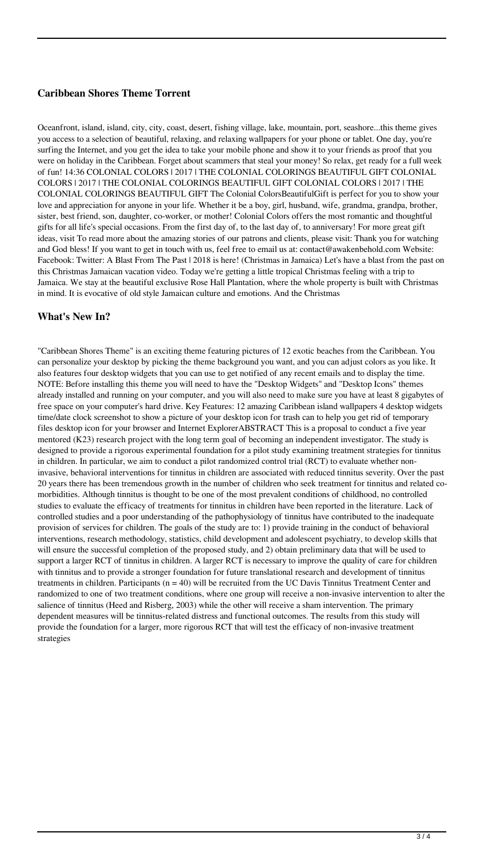## **Caribbean Shores Theme Torrent**

Oceanfront, island, island, city, city, coast, desert, fishing village, lake, mountain, port, seashore...this theme gives you access to a selection of beautiful, relaxing, and relaxing wallpapers for your phone or tablet. One day, you're surfing the Internet, and you get the idea to take your mobile phone and show it to your friends as proof that you were on holiday in the Caribbean. Forget about scammers that steal your money! So relax, get ready for a full week of fun! 14:36 COLONIAL COLORS | 2017 | THE COLONIAL COLORINGS BEAUTIFUL GIFT COLONIAL COLORS | 2017 | THE COLONIAL COLORINGS BEAUTIFUL GIFT COLONIAL COLORS | 2017 | THE COLONIAL COLORINGS BEAUTIFUL GIFT The Colonial ColorsBeautifulGift is perfect for you to show your love and appreciation for anyone in your life. Whether it be a boy, girl, husband, wife, grandma, grandpa, brother, sister, best friend, son, daughter, co-worker, or mother! Colonial Colors offers the most romantic and thoughtful gifts for all life's special occasions. From the first day of, to the last day of, to anniversary! For more great gift ideas, visit To read more about the amazing stories of our patrons and clients, please visit: Thank you for watching and God bless! If you want to get in touch with us, feel free to email us at: contact@awakenbehold.com Website: Facebook: Twitter: A Blast From The Past | 2018 is here! (Christmas in Jamaica) Let's have a blast from the past on this Christmas Jamaican vacation video. Today we're getting a little tropical Christmas feeling with a trip to Jamaica. We stay at the beautiful exclusive Rose Hall Plantation, where the whole property is built with Christmas in mind. It is evocative of old style Jamaican culture and emotions. And the Christmas

## **What's New In?**

"Caribbean Shores Theme" is an exciting theme featuring pictures of 12 exotic beaches from the Caribbean. You can personalize your desktop by picking the theme background you want, and you can adjust colors as you like. It also features four desktop widgets that you can use to get notified of any recent emails and to display the time. NOTE: Before installing this theme you will need to have the "Desktop Widgets" and "Desktop Icons" themes already installed and running on your computer, and you will also need to make sure you have at least 8 gigabytes of free space on your computer's hard drive. Key Features: 12 amazing Caribbean island wallpapers 4 desktop widgets time/date clock screenshot to show a picture of your desktop icon for trash can to help you get rid of temporary files desktop icon for your browser and Internet ExplorerABSTRACT This is a proposal to conduct a five year mentored (K23) research project with the long term goal of becoming an independent investigator. The study is designed to provide a rigorous experimental foundation for a pilot study examining treatment strategies for tinnitus in children. In particular, we aim to conduct a pilot randomized control trial (RCT) to evaluate whether noninvasive, behavioral interventions for tinnitus in children are associated with reduced tinnitus severity. Over the past 20 years there has been tremendous growth in the number of children who seek treatment for tinnitus and related comorbidities. Although tinnitus is thought to be one of the most prevalent conditions of childhood, no controlled studies to evaluate the efficacy of treatments for tinnitus in children have been reported in the literature. Lack of controlled studies and a poor understanding of the pathophysiology of tinnitus have contributed to the inadequate provision of services for children. The goals of the study are to: 1) provide training in the conduct of behavioral interventions, research methodology, statistics, child development and adolescent psychiatry, to develop skills that will ensure the successful completion of the proposed study, and 2) obtain preliminary data that will be used to support a larger RCT of tinnitus in children. A larger RCT is necessary to improve the quality of care for children with tinnitus and to provide a stronger foundation for future translational research and development of tinnitus treatments in children. Participants  $(n = 40)$  will be recruited from the UC Davis Tinnitus Treatment Center and randomized to one of two treatment conditions, where one group will receive a non-invasive intervention to alter the salience of tinnitus (Heed and Risberg, 2003) while the other will receive a sham intervention. The primary dependent measures will be tinnitus-related distress and functional outcomes. The results from this study will provide the foundation for a larger, more rigorous RCT that will test the efficacy of non-invasive treatment strategies